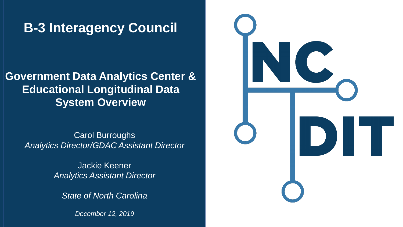### **B-3 Interagency Council**

### **Government Data Analytics Center & Educational Longitudinal Data System Overview**

Carol Burroughs *Presenter Title Analytics Director/GDAC Assistant Director*

> *Month Day, Year* Jackie Keener *Analytics Assistant Director*

*State of North Carolina*

*December 12, 2019*

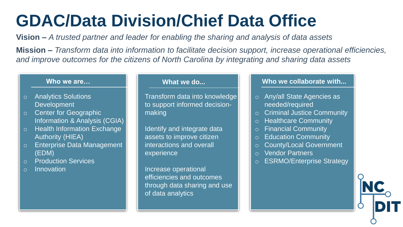# **GDAC/Data Division/Chief Data Office**

**Vision –** *A trusted partner and leader for enabling the sharing and analysis of data assets*

**Mission –** *Transform data into information to facilitate decision support, increase operational efficiencies, and improve outcomes for the citizens of North Carolina by integrating and sharing data assets*

#### **Who we are…**

- o Analytics Solutions **Development**
- o Center for Geographic Information & Analysis (CGIA)
- o Health Information Exchange Authority (HIEA)
- o Enterprise Data Management (EDM)
- o Production Services
- o Innovation

#### **What we do...**

Transform data into knowledge to support informed decisionmaking

Identify and integrate data assets to improve citizen interactions and overall experience

Increase operational efficiencies and outcomes through data sharing and use of data analytics

#### **Who we collaborate with...**

- o Any/all State Agencies as needed/required
- o Criminal Justice Community
- o Healthcare Community
- o Financial Community
- o Education Community
- o County/Local Government
- o Vendor Partners
- o ESRMO/Enterprise Strategy

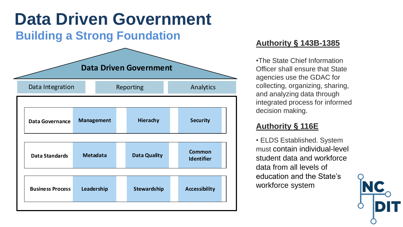## **Data Driven Government**

#### **Building a Strong Foundation**



#### **Authority § 143B-1385**

•The State Chief Information Officer shall ensure that State agencies use the GDAC for collecting, organizing, sharing, and analyzing data through integrated process for informed decision making.

#### **Authority § 116E**

• ELDS Established. System must contain individual-level student data and workforce data from all levels of education and the State's workforce system

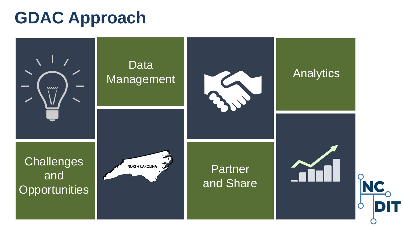## **GDAC Approach**

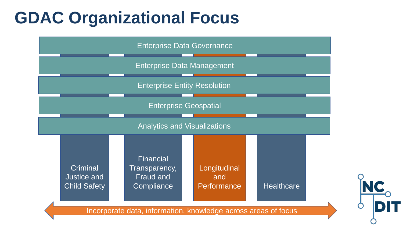## **GDAC Organizational Focus**

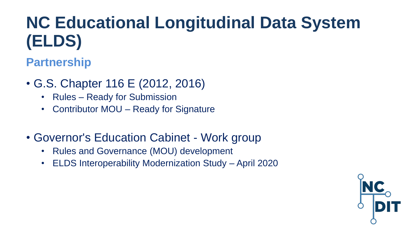# **NC Educational Longitudinal Data System (ELDS)**

### **Partnership**

- G.S. Chapter 116 E (2012, 2016)
	- Rules Ready for Submission
	- Contributor MOU Ready for Signature
- Governor's Education Cabinet Work group
	- Rules and Governance (MOU) development
	- ELDS Interoperability Modernization Study April 2020

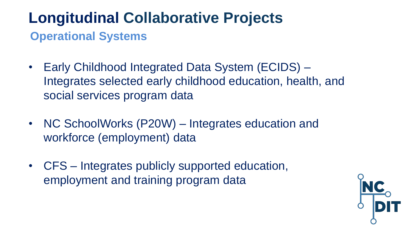## **Longitudinal Collaborative Projects Operational Systems**

- Early Childhood Integrated Data System (ECIDS) Integrates selected early childhood education, health, and social services program data
- NC SchoolWorks (P20W) Integrates education and workforce (employment) data
- CFS Integrates publicly supported education, employment and training program data

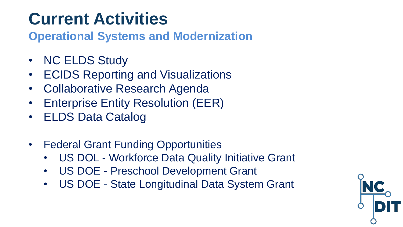## **Current Activities**

**Operational Systems and Modernization** 

- NC ELDS Study
- ECIDS Reporting and Visualizations
- Collaborative Research Agenda
- Enterprise Entity Resolution (EER)
- ELDS Data Catalog
- Federal Grant Funding Opportunities
	- US DOL Workforce Data Quality Initiative Grant
	- US DOE Preschool Development Grant
	- US DOE State Longitudinal Data System Grant

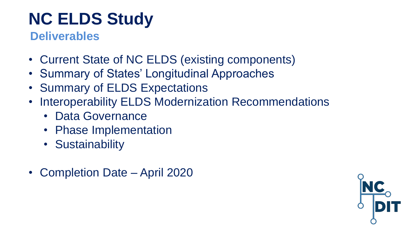# **NC ELDS Study**

#### **Deliverables**

- Current State of NC ELDS (existing components)
- Summary of States' Longitudinal Approaches
- Summary of ELDS Expectations
- Interoperability ELDS Modernization Recommendations
	- Data Governance
	- Phase Implementation
	- Sustainability
- Completion Date April 2020

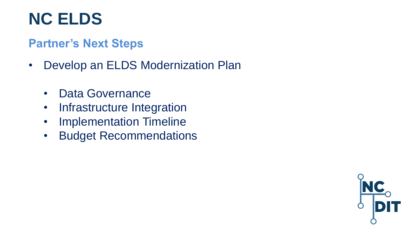## **NC ELDS**

#### **Partner's Next Steps**

- Develop an ELDS Modernization Plan
	- Data Governance
	- Infrastructure Integration
	- Implementation Timeline
	- Budget Recommendations